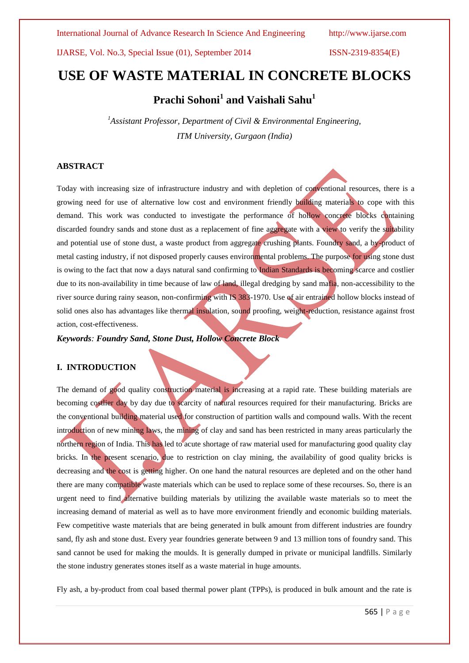IJARSE, Vol. No.3, Special Issue (01), September 2014 ISSN-2319-8354(E)

# **USE OF WASTE MATERIAL IN CONCRETE BLOCKS**

# **Prachi Sohoni<sup>1</sup> and Vaishali Sahu<sup>1</sup>**

*<sup>1</sup>Assistant Professor, Department of Civil & Environmental Engineering, ITM University, Gurgaon (India)*

## **ABSTRACT**

Today with increasing size of infrastructure industry and with depletion of conventional resources, there is a growing need for use of alternative low cost and environment friendly building materials to cope with this demand. This work was conducted to investigate the performance of hollow concrete blocks containing discarded foundry sands and stone dust as a replacement of fine aggregate with a view to verify the suitability and potential use of stone dust, a waste product from aggregate crushing plants. Foundry sand, a by-product of metal casting industry, if not disposed properly causes environmental problems. The purpose for using stone dust is owing to the fact that now a days natural sand confirming to Indian Standards is becoming scarce and costlier due to its non-availability in time because of law of land, illegal dredging by sand mafia, non-accessibility to the river source during rainy season, non-confirming with IS 383-1970. Use of air entrained hollow blocks instead of solid ones also has advantages like thermal insulation, sound proofing, weight-reduction, resistance against frost action, cost-effectiveness.

*Keywords: Foundry Sand, Stone Dust, Hollow Concrete Block*

## **I. INTRODUCTION**

The demand of good quality construction material is increasing at a rapid rate. These building materials are becoming costlier day by day due to scarcity of natural resources required for their manufacturing. Bricks are the conventional building material used for construction of partition walls and compound walls. With the recent introduction of new mining laws, the mining of clay and sand has been restricted in many areas particularly the northern region of India. This has led to acute shortage of raw material used for manufacturing good quality clay bricks. In the present scenario, due to restriction on clay mining, the availability of good quality bricks is decreasing and the cost is getting higher. On one hand the natural resources are depleted and on the other hand there are many compatible waste materials which can be used to replace some of these recourses. So, there is an urgent need to find alternative building materials by utilizing the available waste materials so to meet the increasing demand of material as well as to have more environment friendly and economic building materials. Few competitive waste materials that are being generated in bulk amount from different industries are foundry sand, fly ash and stone dust. Every year foundries generate between 9 and 13 million tons of foundry sand. This sand cannot be used for making the moulds. It is generally dumped in private or municipal landfills. Similarly the stone industry generates stones itself as a waste material in huge amounts.

Fly ash, a by-product from coal based thermal power plant (TPPs), is produced in bulk amount and the rate is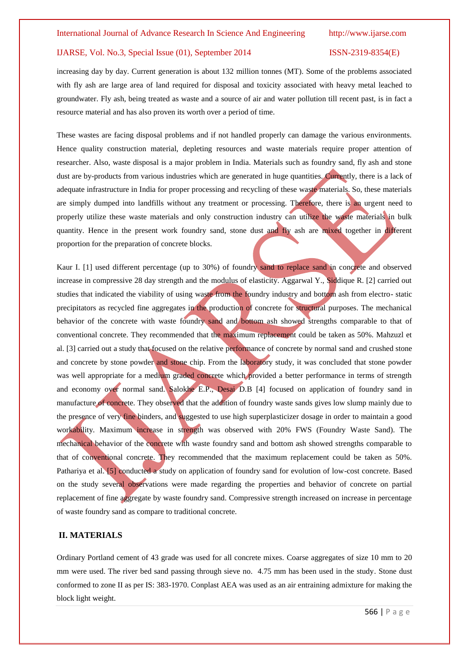#### IJARSE, Vol. No.3, Special Issue (01), September 2014 ISSN-2319-8354(E)

increasing day by day. Current generation is about 132 million tonnes (MT). Some of the problems associated with fly ash are large area of land required for disposal and toxicity associated with heavy metal leached to groundwater. Fly ash, being treated as waste and a source of air and water pollution till recent past, is in fact a resource material and has also proven its worth over a period of time.

These wastes are facing disposal problems and if not handled properly can damage the various environments. Hence quality construction material, depleting resources and waste materials require proper attention of researcher. Also, waste disposal is a major problem in India. Materials such as foundry sand, fly ash and stone dust are by-products from various industries which are generated in huge quantities. Currently, there is a lack of adequate infrastructure in India for proper processing and recycling of these waste materials. So, these materials are simply dumped into landfills without any treatment or processing. Therefore, there is an urgent need to properly utilize these waste materials and only construction industry can utilize the waste materials in bulk quantity. Hence in the present work foundry sand, stone dust and fly ash are mixed together in different proportion for the preparation of concrete blocks.

Kaur I. [1] used different percentage (up to 30%) of foundry sand to replace sand in concrete and observed increase in compressive 28 day strength and the modulus of elasticity. Aggarwal Y., Siddique R. [2] carried out studies that indicated the viability of using waste from the foundry industry and bottom ash from electro- static precipitators as recycled fine aggregates in the production of concrete for structural purposes. The mechanical behavior of the concrete with waste foundry sand and bottom ash showed strengths comparable to that of conventional concrete. They recommended that the maximum replacement could be taken as 50%. Mahzuzl et al. [3] carried out a study that focused on the relative performance of concrete by normal sand and crushed stone and concrete by stone powder and stone chip. From the laboratory study, it was concluded that stone powder was well appropriate for a medium graded concrete which provided a better performance in terms of strength and economy over normal sand. Salokhe E.P., Desai D.B [4] focused on application of foundry sand in manufacture of concrete. They observed that the addition of foundry waste sands gives low slump mainly due to the presence of very fine binders, and suggested to use high superplasticizer dosage in order to maintain a good workability. Maximum increase in strength was observed with 20% FWS (Foundry Waste Sand). The mechanical behavior of the concrete with waste foundry sand and bottom ash showed strengths comparable to that of conventional concrete. They recommended that the maximum replacement could be taken as 50%. Pathariya et al. [5] conducted a study on application of foundry sand for evolution of low-cost concrete. Based on the study several observations were made regarding the properties and behavior of concrete on partial replacement of fine aggregate by waste foundry sand. Compressive strength increased on increase in percentage of waste foundry sand as compare to traditional concrete.

#### **II. MATERIALS**

Ordinary Portland cement of 43 grade was used for all concrete mixes. Coarse aggregates of size 10 mm to 20 mm were used. The river bed sand passing through sieve no. 4.75 mm has been used in the study. Stone dust conformed to zone II as per IS: 383-1970. Conplast AEA was used as an air entraining admixture for making the block light weight.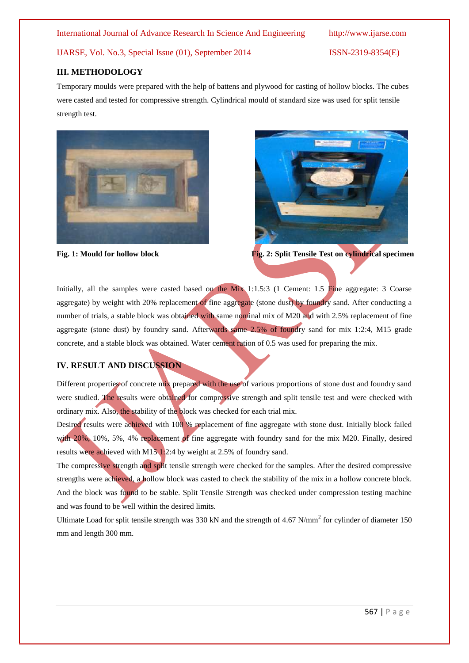International Journal of Advance Research In Science And Engineering http://www.ijarse.com

# IJARSE, Vol. No.3, Special Issue (01), September 2014 ISSN-2319-8354(E)

### **III. METHODOLOGY**

Temporary moulds were prepared with the help of battens and plywood for casting of hollow blocks. The cubes were casted and tested for compressive strength. Cylindrical mould of standard size was used for split tensile strength test.





**Fig. 1: Mould for hollow block Fig. 2: Split Tensile Test on cylindrical specimen** 

Initially, all the samples were casted based on the Mix 1:1.5:3 (1 Cement: 1.5 Fine aggregate: 3 Coarse aggregate) by weight with 20% replacement of fine aggregate (stone dust) by foundry sand. After conducting a number of trials, a stable block was obtained with same nominal mix of M20 and with 2.5% replacement of fine aggregate (stone dust) by foundry sand. Afterwards same 2.5% of foundry sand for mix 1:2:4, M15 grade concrete, and a stable block was obtained. Water cement ration of 0.5 was used for preparing the mix.

# **IV. RESULT AND DISCUSSION**

Different properties of concrete mix prepared with the use of various proportions of stone dust and foundry sand were studied. The results were obtained for compressive strength and split tensile test and were checked with ordinary mix. Also, the stability of the block was checked for each trial mix.

Desired results were achieved with 100 % replacement of fine aggregate with stone dust. Initially block failed with 20%, 10%, 5%, 4% replacement of fine aggregate with foundry sand for the mix M20. Finally, desired results were achieved with M15 1:2:4 by weight at 2.5% of foundry sand.

The compressive strength and split tensile strength were checked for the samples. After the desired compressive strengths were achieved, a hollow block was casted to check the stability of the mix in a hollow concrete block. And the block was found to be stable. Split Tensile Strength was checked under compression testing machine and was found to be well within the desired limits.

Ultimate Load for split tensile strength was 330 kN and the strength of 4.67 N/mm<sup>2</sup> for cylinder of diameter 150 mm and length 300 mm.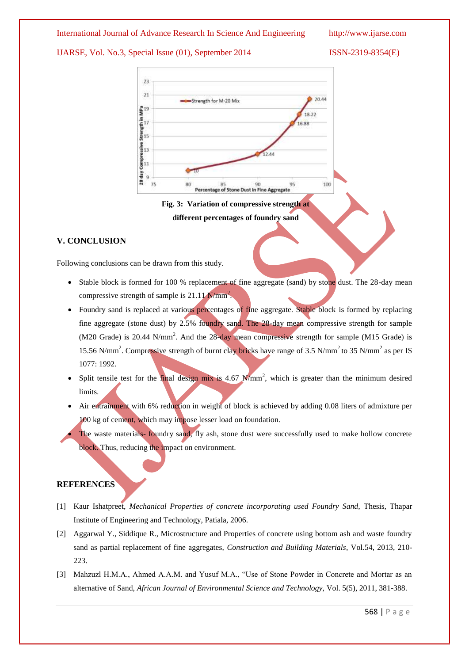#### International Journal of Advance Research In Science And Engineering http://www.ijarse.com

### IJARSE, Vol. No.3, Special Issue (01), September 2014 ISSN-2319-8354(E)



**Fig. 3: Variation of compressive strength at different percentages of foundry sand**

# **V. CONCLUSION**

Following conclusions can be drawn from this study.

- Stable block is formed for 100 % replacement of fine aggregate (sand) by stone dust. The 28-day mean compressive strength of sample is  $21.11 \text{ N/mm}^2$ .
- Foundry sand is replaced at various percentages of fine aggregate. Stable block is formed by replacing fine aggregate (stone dust) by 2.5% foundry sand. The 28-day mean compressive strength for sample (M20 Grade) is 20.44 N/mm<sup>2</sup>. And the 28-day mean compressive strength for sample (M15 Grade) is 15.56 N/mm<sup>2</sup>. Compressive strength of burnt clay bricks have range of 3.5 N/mm<sup>2</sup> to 35 N/mm<sup>2</sup> as per IS 1077: 1992.
- Split tensile test for the final design mix is  $4.67$  N/mm<sup>2</sup>, which is greater than the minimum desired limits.
- Air entrainment with 6% reduction in weight of block is achieved by adding 0.08 liters of admixture per 100 kg of cement, which may impose lesser load on foundation.
	- The waste materials- foundry sand, fly ash, stone dust were successfully used to make hollow concrete block. Thus, reducing the impact on environment.

#### **REFERENCES**

- [1] Kaur Ishatpreet, *Mechanical Properties of concrete incorporating used Foundry Sand,* Thesis, Thapar Institute of Engineering and Technology, Patiala, 2006.
- [2] Aggarwal Y., Siddique R., Microstructure and Properties of concrete using bottom ash and waste foundry sand as partial replacement of fine aggregates, *Construction and Building Materials*, Vol.54, 2013, 210- 223.
- [3] Mahzuzl H.M.A., Ahmed A.A.M. and Yusuf M.A., "Use of Stone Powder in Concrete and Mortar as an alternative of Sand, *African Journal of Environmental Science and Technology,* Vol. 5(5), 2011, 381-388.